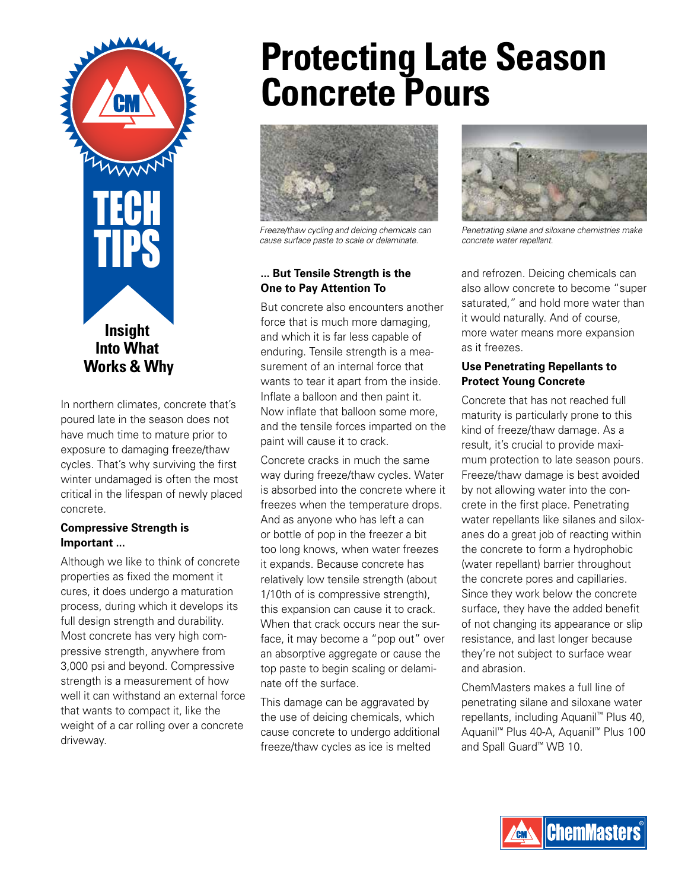

In northern climates, concrete that's poured late in the season does not have much time to mature prior to exposure to damaging freeze/thaw cycles. That's why surviving the first winter undamaged is often the most critical in the lifespan of newly placed concrete.

#### **Compressive Strength is Important ...**

Although we like to think of concrete properties as fixed the moment it cures, it does undergo a maturation process, during which it develops its full design strength and durability. Most concrete has very high compressive strength, anywhere from 3,000 psi and beyond. Compressive strength is a measurement of how well it can withstand an external force that wants to compact it, like the weight of a car rolling over a concrete driveway.

# **Protecting Late Season Concrete Pours**



*Freeze/thaw cycling and deicing chemicals can cause surface paste to scale or delaminate.*

#### **... But Tensile Strength is the One to Pay Attention To**

But concrete also encounters another force that is much more damaging, and which it is far less capable of enduring. Tensile strength is a measurement of an internal force that wants to tear it apart from the inside. Inflate a balloon and then paint it. Now inflate that balloon some more, and the tensile forces imparted on the paint will cause it to crack.

Concrete cracks in much the same way during freeze/thaw cycles. Water is absorbed into the concrete where it freezes when the temperature drops. And as anyone who has left a can or bottle of pop in the freezer a bit too long knows, when water freezes it expands. Because concrete has relatively low tensile strength (about 1/10th of is compressive strength), this expansion can cause it to crack. When that crack occurs near the surface, it may become a "pop out" over an absorptive aggregate or cause the top paste to begin scaling or delaminate off the surface.

This damage can be aggravated by the use of deicing chemicals, which cause concrete to undergo additional freeze/thaw cycles as ice is melted



*Penetrating silane and siloxane chemistries make concrete water repellant.*

and refrozen. Deicing chemicals can also allow concrete to become "super saturated," and hold more water than it would naturally. And of course, more water means more expansion as it freezes.

#### **Use Penetrating Repellants to Protect Young Concrete**

Concrete that has not reached full maturity is particularly prone to this kind of freeze/thaw damage. As a result, it's crucial to provide maximum protection to late season pours. Freeze/thaw damage is best avoided by not allowing water into the concrete in the first place. Penetrating water repellants like silanes and siloxanes do a great job of reacting within the concrete to form a hydrophobic (water repellant) barrier throughout the concrete pores and capillaries. Since they work below the concrete surface, they have the added benefit of not changing its appearance or slip resistance, and last longer because they're not subject to surface wear and abrasion.

ChemMasters makes a full line of penetrating silane and siloxane water repellants, including Aquanil™ Plus 40, Aquanil™ Plus 40-A, Aquanil™ Plus 100 and Spall Guard™ WB 10.